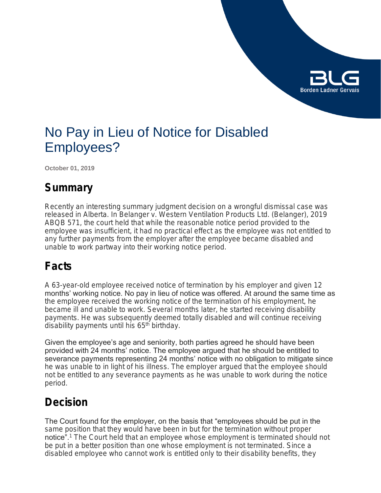

# No Pay in Lieu of Notice for Disabled Employees?

**October 01, 2019**

### **Summary**

Recently an interesting summary judgment decision on a wrongful dismissal case was released in Alberta. In *Belanger v. Western Ventilation Products Ltd.* (*Belanger*), 2019 ABQB 571, the court held that while the reasonable notice period provided to the employee was insufficient, it had no practical effect as the employee was not entitled to any further payments from the employer after the employee became disabled and unable to work partway into their working notice period.

### **Facts**

A 63-year-old employee received notice of termination by his employer and given 12 months' working notice. No pay in lieu of notice was offered. At around the same time as the employee received the working notice of the termination of his employment, he became ill and unable to work. Several months later, he started receiving disability payments. He was subsequently deemed totally disabled and will continue receiving disability payments until his 65<sup>th</sup> birthday.

Given the employee's age and seniority, both parties agreed he should have been provided with 24 months' notice. The employee argued that he should be entitled to severance payments representing 24 months' notice with no obligation to mitigate since he was unable to in light of his illness. The employer argued that the employee should not be entitled to any severance payments as he was unable to work during the notice period.

### **Decision**

The Court found for the employer, on the basis that "employees should be put in the same position that they would have been in but for the termination without proper notice".<sup>1</sup> The Court held that an employee whose employment is terminated should not be put in a better position than one whose employment is not terminated. Since a disabled employee who cannot work is entitled only to their disability benefits, they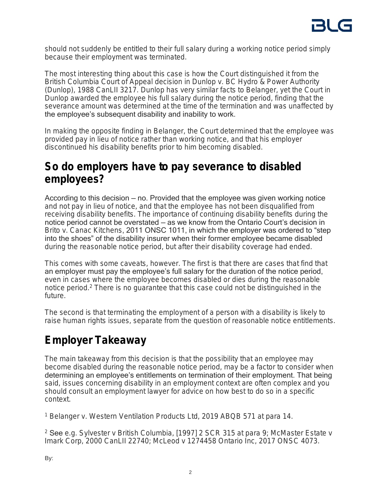

should not suddenly be entitled to their full salary during a working notice period simply because their employment was terminated.

The most interesting thing about this case is how the Court distinguished it from the British Columbia Court of Appeal decision in *Dunlop v. BC Hydro & Power Authority*  (*Dunlop*), 1988 CanLII 3217. *Dunlop* has very similar facts to *Belanger,* yet the Court in *Dunlop* awarded the employee his full salary during the notice period, finding that the severance amount was determined at the time of the termination and was unaffected by the employee's subsequent disability and inability to work.

In making the opposite finding in *Belanger,* the Court determined that the employee was provided pay in lieu of notice rather than working notice, and that his employer discontinued his disability benefits prior to him becoming disabled.

### **So do employers have to pay severance to disabled employees?**

According to this decision — no. Provided that the employee was given working notice and not pay in lieu of notice, and that the employee has not been disqualified from receiving disability benefits. The importance of continuing disability benefits during the notice period cannot be overstated — as we know from the Ontario Court's decision in *Brito v. Canac Kitchens*, 2011 ONSC 1011, in which the employer was ordered to "step into the shoes" of the disability insurer when their former employee became disabled during the reasonable notice period, but after their disability coverage had ended.

This comes with some caveats, however. The first is that there are cases that find that an employer must pay the employee's full salary for the duration of the notice period, even in cases where the employee becomes disabled or dies during the reasonable notice period.<sup>2</sup> There is no guarantee that this case could not be distinguished in the future.

The second is that terminating the employment of a person with a disability is likely to raise human rights issues, separate from the question of reasonable notice entitlements.

## **Employer Takeaway**

The main takeaway from this decision is that the possibility that an employee may become disabled during the reasonable notice period, may be a factor to consider when determining an employee's entitlements on termination of their employment. That being said, issues concerning disability in an employment context are often complex and you should consult an employment lawyer for advice on how best to do so in a specific context.

<sup>1</sup> *Belanger v. Western Ventilation Products Ltd,* 2019 ABQB 571 at para 14.

2 See *e.g.* Sylvester v British Columbia, [1997] 2 SCR 315 at para 9; *McMaster Estate v Imark Corp,* 2000 CanLII 22740; *McLeod v 1274458 Ontario Inc,* 2017 ONSC 4073.